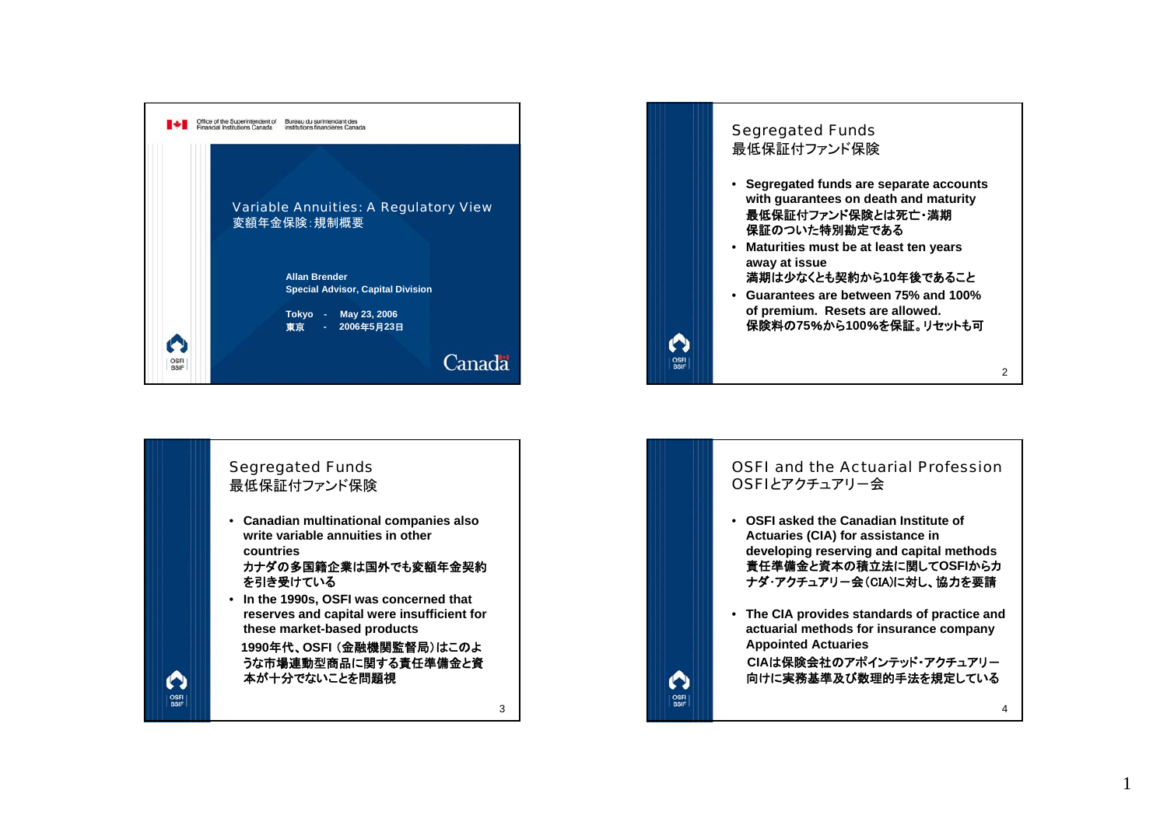



3



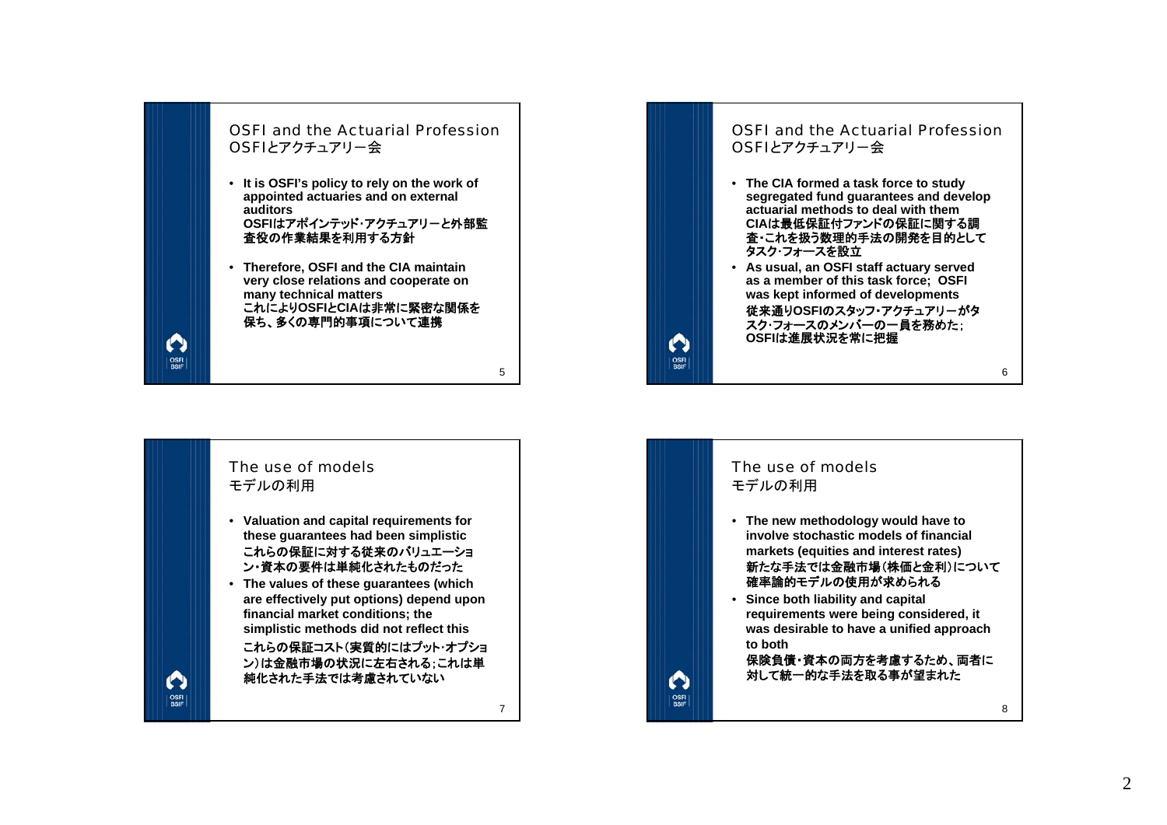

## The use of modelsモデルの利用

 $\mathbf \Omega$ 

OSFI<br>BSIF

- **Valuation and capital requirements for these guarantees had been simplistic** これらの保証に対する従来のバリュエーショ ン・資本の要件は単純化されたものだった
- **The values of these guarantees (which are effectively put options) depend upon financial market conditions; the simplistic methods did not reflect this**

これらの保証コスト(実質的にはプット・オプショ ン)は金融市場の状況に左右される;これは単 純化された手法では考慮されていない

7



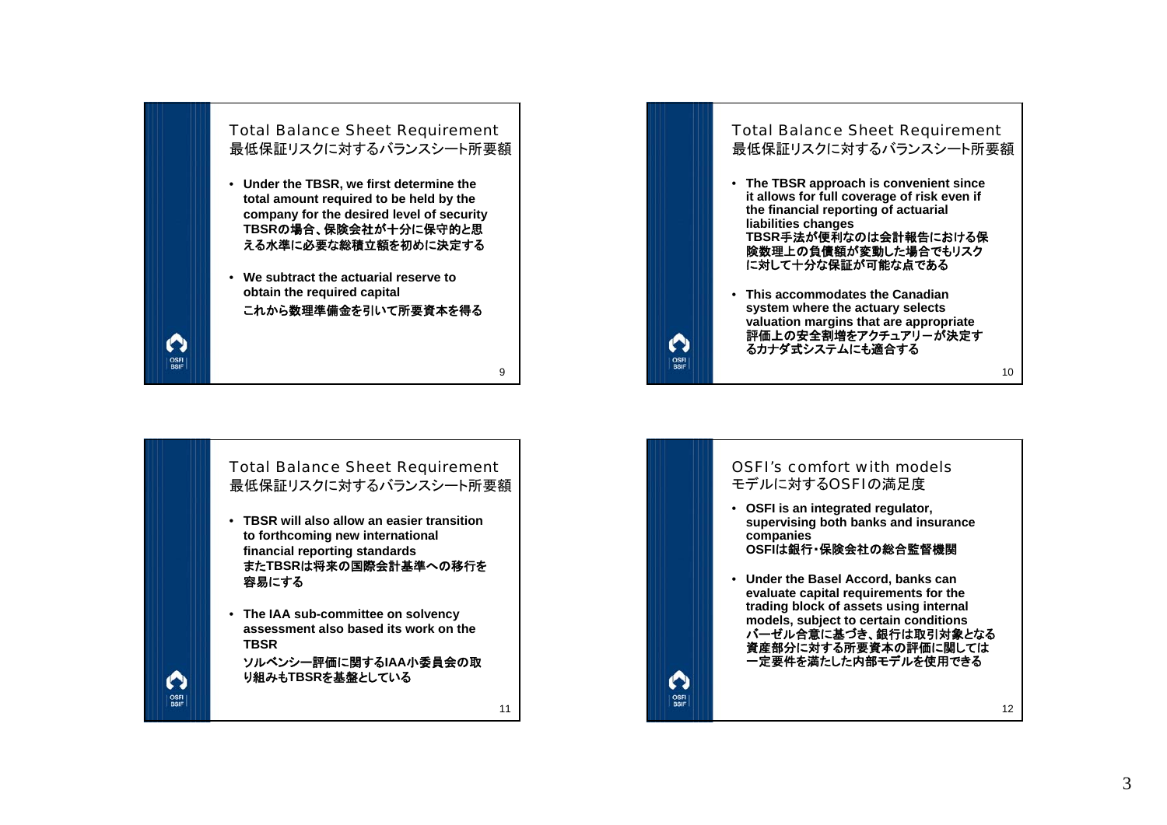

## Total Balance Sheet Requirement 最低保証リスクに対するバランスシート所要額

- **TBSR will also allow an easier transition to forthcoming new international financial reporting standards** また**TBSR**は将来の国際会計基準への移行を 容易にする
- **The IAA sub-committee on solvency assessment also based its work on the TBSR**

 $\mathbf \Omega$ 

OSFI<br>BSIF

ソルベンシー評価に関する**IAA**小委員会の取 り組みも**TBSR**を基盤としている



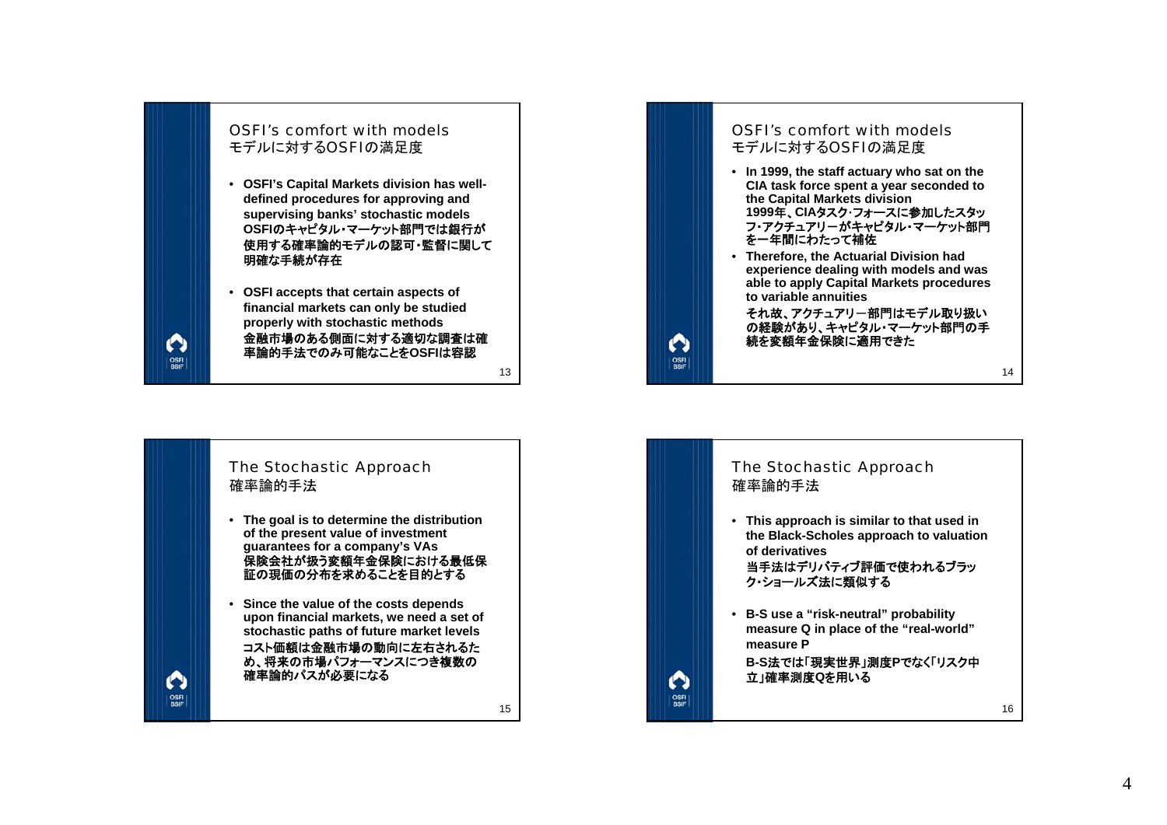

13

 $\bullet$ 

 $\left|\frac{\text{OSFI}}{\text{RSIF}}\right|$ 

15



## OSFI's comfort with modelsモデルに対するOSFIの満足度

- **In 1999, the staff actuary who sat on the CIA task force spent a year seconded to the Capital Markets division 1999**年、**CIA**タスク・フォースに参加したスタッ フ・アクチュアリーがキャピタル・マーケット部門 を一年間にわたって補佐
- **Therefore, the Actuarial Division had experience dealing with models and was able to apply Capital Markets procedures to variable annuities**

それ故、アクチュアリー部門はモデル取り扱い の経験があり、キャピタル・マーケット部門の手続を変額年金保険に適用できた

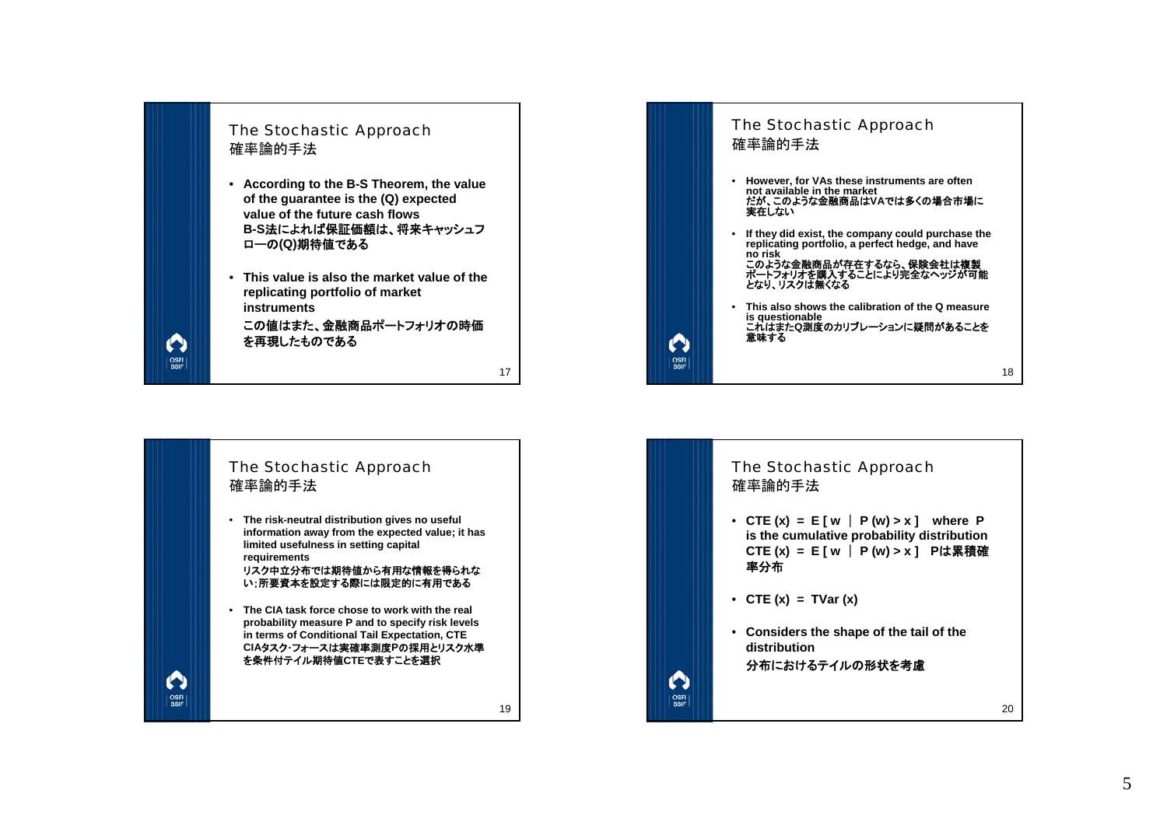

 $\boldsymbol{\Omega}$ 

OSFI

 $\boldsymbol{\Omega}$ 

**OSFI**<br>BSIF

この値はまた、金融商品ポートフォリオの時価を再現したものである



• **The risk-neutral distribution gives no useful information away from the expected value; it has limited usefulness in setting capital requirements**

リスク中立分布では期待値から有用な情報を得られな い;所要資本を設定する際には限定的に有用である

• **The CIA task force chose to work with the real probability measure P and to specify risk levels in terms of Conditional Tail Expectation, CTE CIA**タスク・フォースは実確率測度**P**の採用とリスク水準を条件付テイル期待値**CTE**で表すことを選択

19



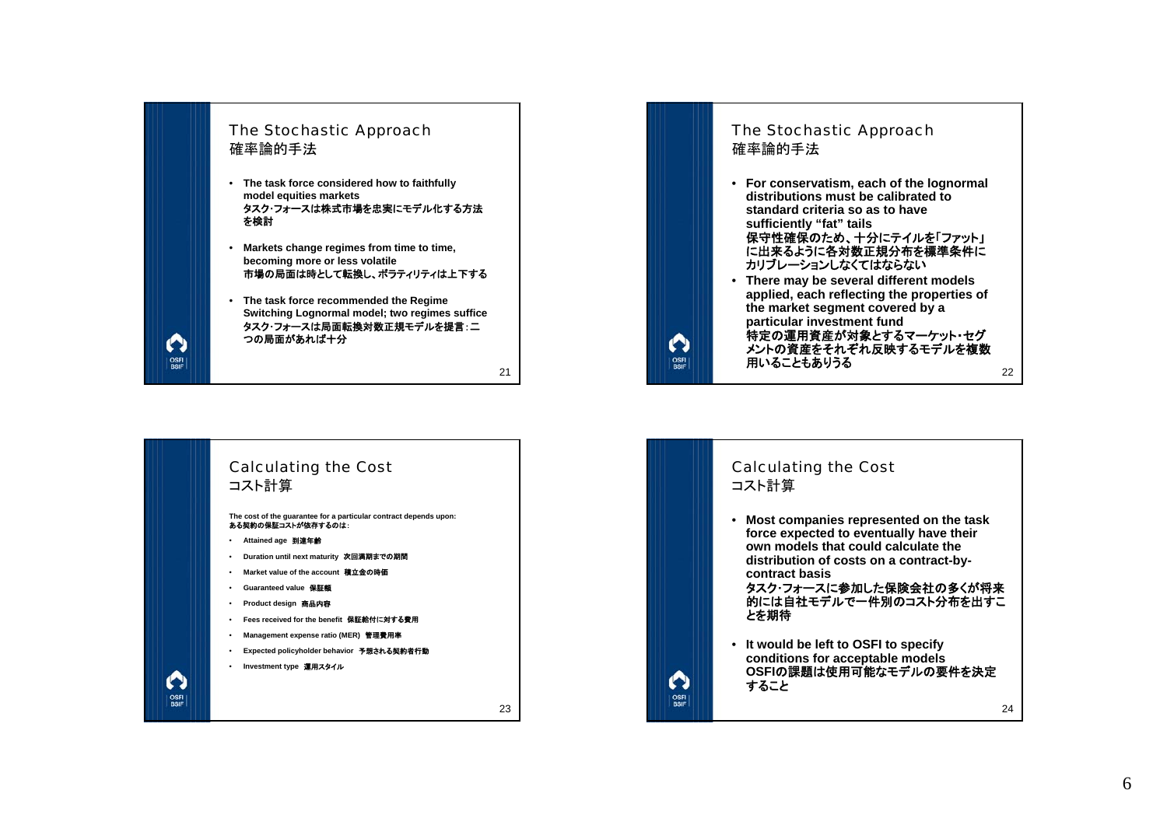





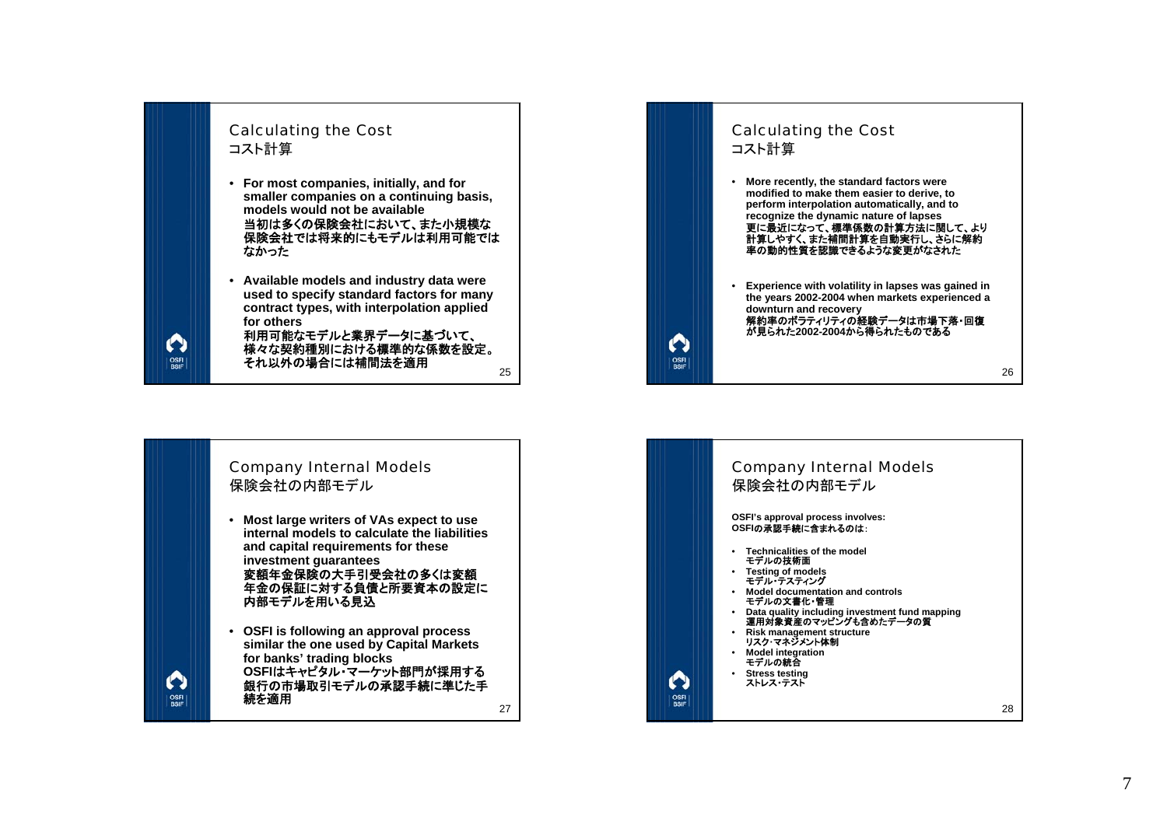





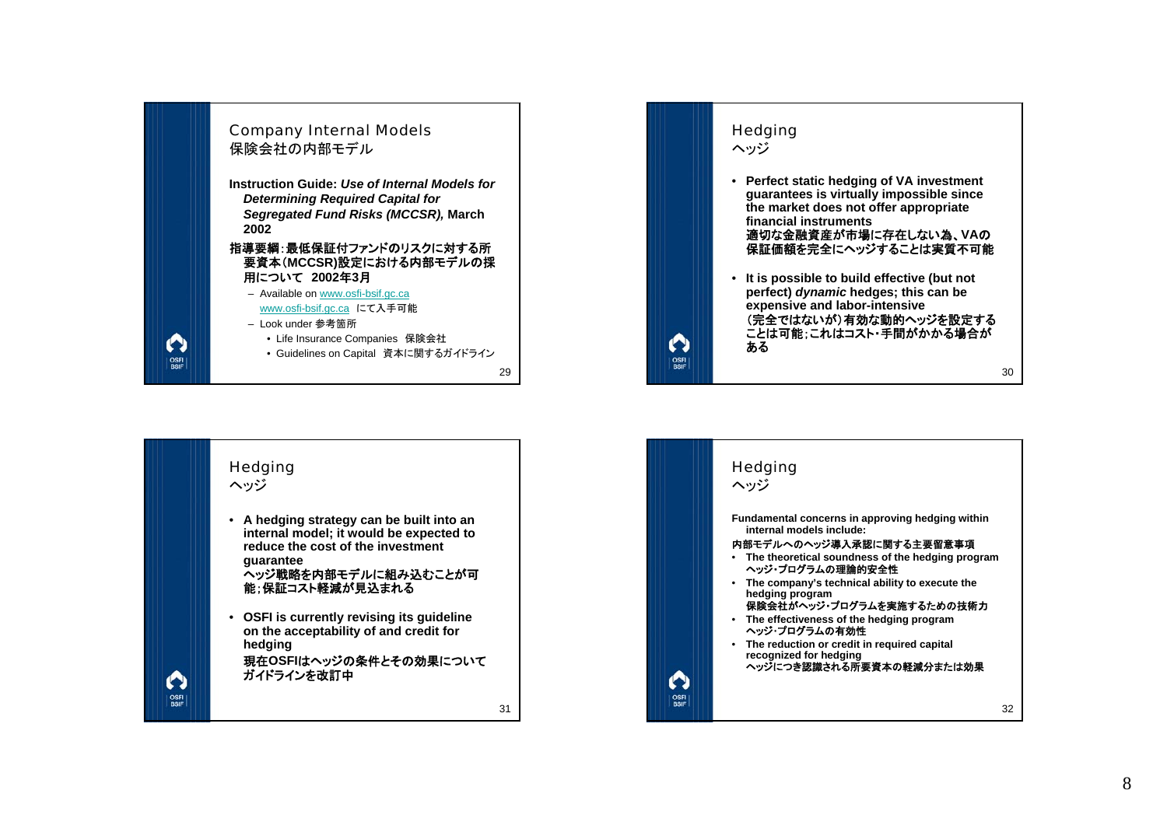



ヘッジ

 $\mathbf \Omega$ 

OSFI<br>BSIF

• **A hedging strategy can be built into an internal model; it would be expected to reduce the cost of the investment guarantee**

ヘッジ戦略を内部モデルに組み込むことが可 能;保証コスト軽減が見込まれる

• **OSFI is currently revising its guideline on the acceptability of and credit for hedging**

現在**OSFI**はヘッジの条件とその効果について ガイドラインを改訂中